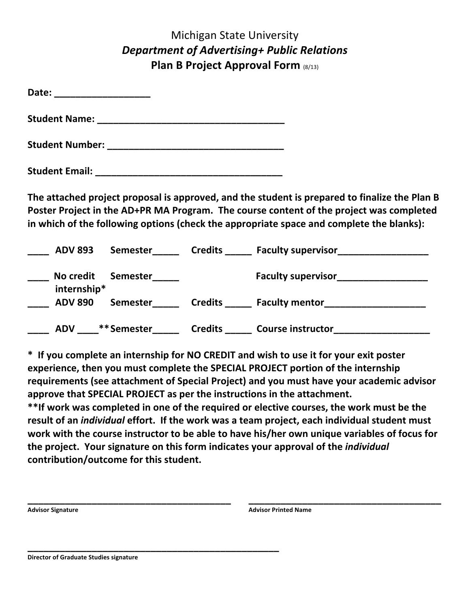## Michigan State University *Department of Advertising+ Public Relations* **Plan B Project Approval Form (8/13)**

| Date:                  |  |  |
|------------------------|--|--|
| <b>Student Name:</b>   |  |  |
| <b>Student Number:</b> |  |  |
| <b>Student Email:</b>  |  |  |

The attached project proposal is approved, and the student is prepared to finalize the Plan B Poster Project in the AD+PR MA Program. The course content of the project was completed in which of the following options (check the appropriate space and complete the blanks):

| <b>ADV 893</b>           | <b>Semester</b> | <b>Credits</b> | <b>Faculty supervisor</b> |
|--------------------------|-----------------|----------------|---------------------------|
| No credit<br>internship* | <b>Semester</b> |                | <b>Faculty supervisor</b> |
| <b>ADV 890</b>           | <b>Semester</b> | <b>Credits</b> | <b>Faculty mentor</b>     |
| <b>ADV</b>               | ** Semester     | <b>Credits</b> | <b>Course instructor</b>  |

\* If you complete an internship for NO CREDIT and wish to use it for your exit poster experience, then you must complete the SPECIAL PROJECT portion of the internship requirements (see attachment of Special Project) and you must have your academic advisor approve that SPECIAL PROJECT as per the instructions in the attachment.

\*\*If work was completed in one of the required or elective courses, the work must be the result of an *individual* effort. If the work was a team project, each individual student must work with the course instructor to be able to have his/her own unique variables of focus for the project. Your signature on this form indicates your approval of the *individual* contribution/outcome for this student.

| <b>Advisor Signature</b> | <b>Advisor Printed Name</b> |  |
|--------------------------|-----------------------------|--|
|                          |                             |  |
|                          |                             |  |

**Director of Graduate Studies signature**

**\_\_\_\_\_\_\_\_\_\_\_\_\_\_\_\_\_\_\_\_\_\_\_\_\_\_\_\_\_\_\_\_\_\_\_\_\_\_\_\_\_\_\_\_\_\_\_**